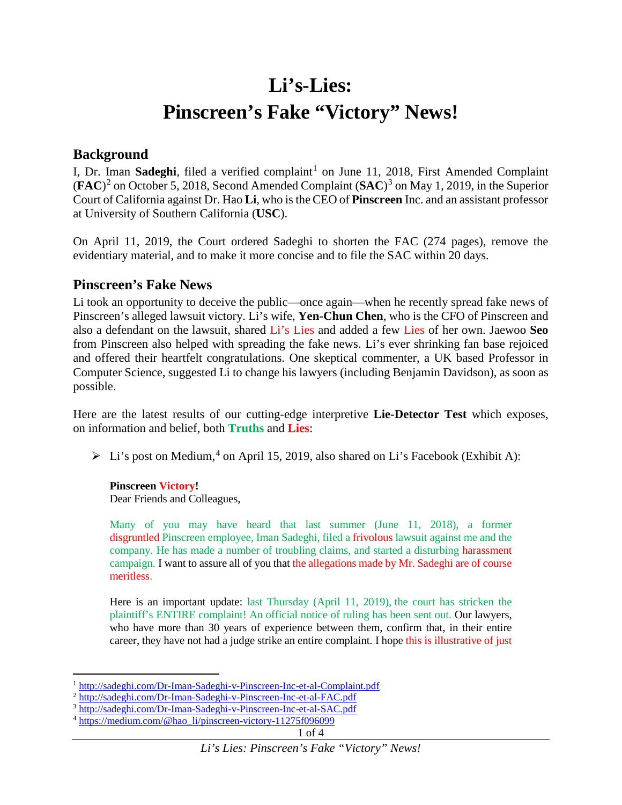# **Li's-Lies: Pinscreen's Fake "Victory" News!**

## **Background**

I, Dr. Iman Sadeghi, filed a verified complaint<sup>[1](#page-0-0)</sup> on June 11, 2018, First Amended Complaint (**FAC**)[2](#page-0-1) on October 5, 2018, Second Amended Complaint (**SAC**) [3](#page-0-2) on May 1, 2019, in the Superior Court of California against Dr. Hao **Li**, who is the CEO of **Pinscreen** Inc. and an assistant professor at University of Southern California (**USC**).

On April 11, 2019, the Court ordered Sadeghi to shorten the FAC (274 pages), remove the evidentiary material, and to make it more concise and to file the SAC within 20 days.

## **Pinscreen's Fake News**

Li took an opportunity to deceive the public—once again—when he recently spread fake news of Pinscreen's alleged lawsuit victory. Li's wife, **Yen-Chun Chen**, who is the CFO of Pinscreen and also a defendant on the lawsuit, shared Li's Lies and added a few Lies of her own. Jaewoo **Seo** from Pinscreen also helped with spreading the fake news. Li's ever shrinking fan base rejoiced and offered their heartfelt congratulations. One skeptical commenter, a UK based Professor in Computer Science, suggested Li to change his lawyers (including Benjamin Davidson), as soon as possible.

Here are the latest results of our cutting-edge interpretive **Lie-Detector Test** which exposes, on information and belief, both **Truths** and **Lies**:

> Li's post on Medium,<sup>[4](#page-0-3)</sup> on April 15, 2019, also shared on Li's Facebook (Exhibit A):

**Pinscreen Victory!**

Dear Friends and Colleagues,

Many of you may have heard that last summer (June 11, 2018), a former disgruntled Pinscreen employee, Iman Sadeghi, filed a frivolous lawsuit against me and the company. He has made a number of troubling claims, and started a disturbing harassment campaign. I want to assure all of you that the allegations made by Mr. Sadeghi are of course meritless.

Here is an important update: last Thursday (April 11, 2019), the court has stricken the plaintiff's ENTIRE complaint! An official notice of ruling has been sent out. Our lawyers, who have more than 30 years of experience between them, confirm that, in their entire career, they have not had a judge strike an entire complaint. I hope this is illustrative of just

<span id="page-0-0"></span> $\overline{a}$ <sup>1</sup> <http://sadeghi.com/Dr-Iman-Sadeghi-v-Pinscreen-Inc-et-al-Complaint.pdf>

<span id="page-0-1"></span><sup>2</sup> <http://sadeghi.com/Dr-Iman-Sadeghi-v-Pinscreen-Inc-et-al-FAC.pdf>

<sup>3</sup> <http://sadeghi.com/Dr-Iman-Sadeghi-v-Pinscreen-Inc-et-al-SAC.pdf>

<span id="page-0-3"></span><span id="page-0-2"></span><sup>4</sup> [https://medium.com/@hao\\_li/pinscreen-victory-11275f096099](https://medium.com/@hao_li/pinscreen-victory-11275f096099)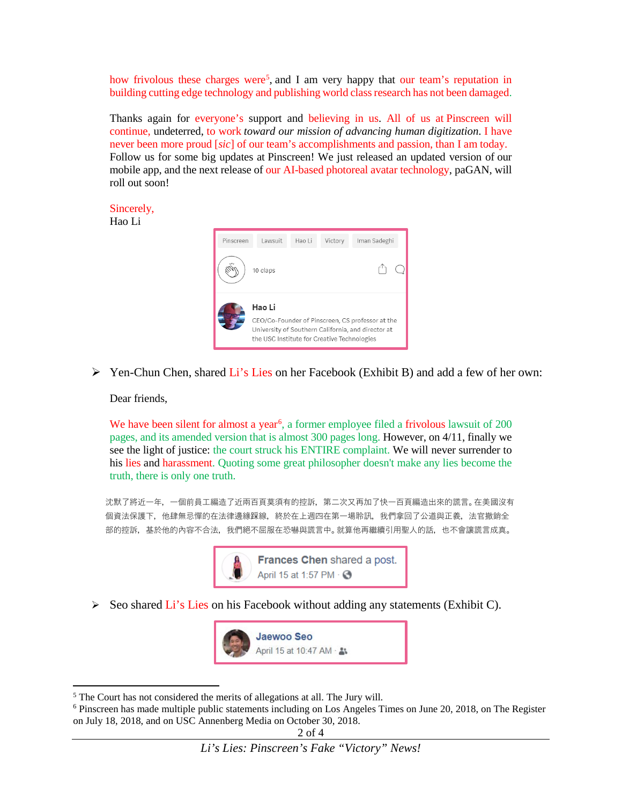how frivolous these charges were<sup>[5](#page-1-0)</sup>, and I am very happy that our team's reputation in building cutting edge technology and publishing world class research has not been damaged.

Thanks again for everyone's support and believing in us. All of us at Pinscreen will continue, undeterred, to work *toward our mission of advancing human digitization*. I have never been more proud [*sic*] of our team's accomplishments and passion, than I am today. Follow us for some big updates at Pinscreen! We just released an updated version of our mobile app, and the next release of our AI-based photoreal avatar technology, paGAN, will roll out soon!

Sincerely,

Hao Li



 $\triangleright$  Yen-Chun Chen, shared Li's Lies on her Facebook (Exhibit B) and add a few of her own:

Dear friends,

 $\overline{\phantom{a}}$ 

We have been silent for almost a year<sup>[6](#page-1-1)</sup>, a former employee filed a frivolous lawsuit of 200 pages, and its amended version that is almost 300 pages long. However, on 4/11, finally we see the light of justice: the court struck his ENTIRE complaint. We will never surrender to his lies and harassment. Quoting some great philosopher doesn't make any lies become the truth, there is only one truth.

沈默了將近一年,一個前員工編造了近兩百頁莫須有的控訴,第二次又再加了快一百頁編造出來的謊言。在美國沒有 個資法保護下,他肆無忌憚的在法律邊緣踩線,終於在上週四在第一場聆訊,我們拿回了公道與正義,法官撤銷全 部的控訴,基於他的內容不合法,我們絕不屈服在恐嚇與謊言中。就算他再繼續引用聖人的話,也不會讓謊言成真。



 $\triangleright$  Seo shared Li's Lies on his Facebook without adding any statements (Exhibit C).



<span id="page-1-1"></span><span id="page-1-0"></span> $5$  The Court has not considered the merits of allegations at all. The Jury will.<br> $6$  Pinscreen has made multiple public statements including on Los Angeles Times on June 20, 2018, on The Register on July 18, 2018, and on USC Annenberg Media on October 30, 2018.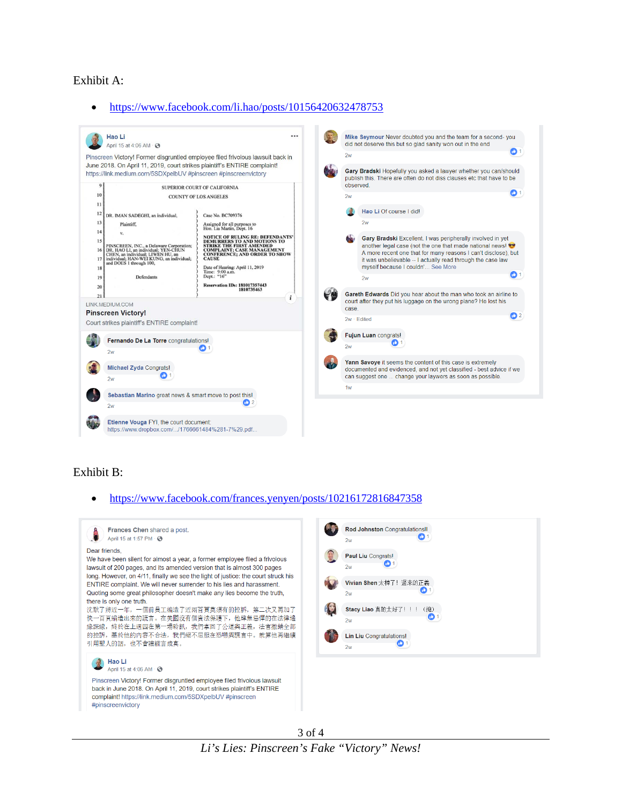#### Exhibit A:

#### • <https://www.facebook.com/li.hao/posts/10156420632478753>



### Exhibit B:

#### • <https://www.facebook.com/frances.yenyen/posts/10216172816847358>

| Frances Chen shared a post.<br>April 15 at 1:57 PM · 3<br>Dear friends,<br>We have been silent for almost a year, a former employee filed a frivolous<br>lawsuit of 200 pages, and its amended version that is almost 300 pages<br>long. However, on 4/11, finally we see the light of justice: the court struck his<br>ENTIRE complaint. We will never surrender to his lies and harassment.<br>Quoting some great philosopher doesn't make any lies become the truth,<br>there is only one truth.<br>沈默了將近一年,一個前員工編造了近兩百頁莫須有的控訴,第二次又再加了<br>快一百頁編造出來的謊言。在美國沒有個資法保護下,他肆無忌憚的在法律邊<br>緣踩線,終於在上週四在第一場聆訊,我們拿回了公道與正義,法官撤銷全部<br>的控訴,基於他的內容不合法,我們絕不屈服在恐嚇與謊言中。就算他再繼續<br>引用聖人的話,也不會讓謊言成真。 | Rod Johnston Congratulations!!<br>2w<br>Paul Liu Congrats!<br>Ф<br>2w<br>Vivian Shen 太棒了! 遲來的正義<br>o<br>2w<br>Stacy Liao 真的太好了!!!<br>(抱)<br>2w<br><b>Lin Liu</b> Congratulations!<br>2w |
|---------------------------------------------------------------------------------------------------------------------------------------------------------------------------------------------------------------------------------------------------------------------------------------------------------------------------------------------------------------------------------------------------------------------------------------------------------------------------------------------------------------------------------------------------------------------------------------------------------------------------------------------------------------------------------|-----------------------------------------------------------------------------------------------------------------------------------------------------------------------------------------|
| Hao Li<br>April 15 at 4:06 AM · 3<br>Pinscreen Victory! Former disgruntled employee filed frivolous lawsuit<br>back in June 2018. On April 11, 2019, court strikes plaintiff's ENTIRE<br>complaint! https://link.medium.com/5SDXpelbUV #pinscreen<br>#pinscreenvictory                                                                                                                                                                                                                                                                                                                                                                                                          |                                                                                                                                                                                         |

3 of 4 *Li's Lies: Pinscreen's Fake "Victory" News!*